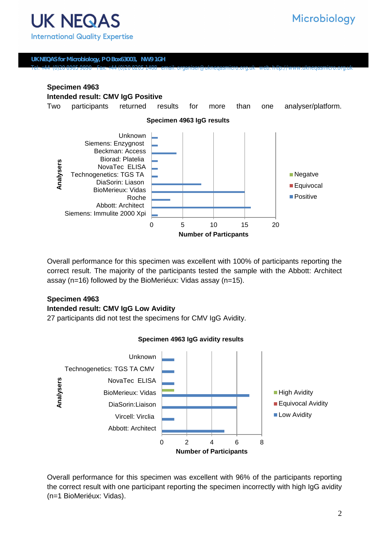**UK NEQAS for Microbiology, P O Box63003, NW9 1GH** Tel: +44 (0)20 8905 9890 Fax: +44 (0)20 8205 1488 email: organiser@ukneqasmicro.org.uk web: h©p://www.ukneqasmicro.org.uk

## **Specimen 4963 Intended result: CMV IgG Positive**  Two participants returned results for more than one analyser/platform.



Overall performance for this specimen was excellent with 100% of participants reporting the correct result. The majority of the participants tested the sample with the Abbott: Architect assay (n=16) followed by the BioMeriéux: Vidas assay (n=15).

## **Specimen 4963**

#### **Intended result: CMV IgG Low Avidity**

27 participants did not test the specimens for CMV IgG Avidity.



#### **Specimen 4963 IgG avidity results**

Overall performance for this specimen was excellent with 96% of the participants reporting the correct result with one participant reporting the specimen incorrectly with high IgG avidity (n=1 BioMeriéux: Vidas).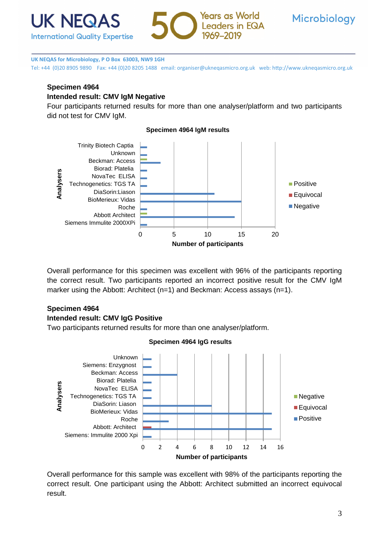





Tel: +44 (0)20 8905 9890 Fax: +44 (0)20 8205 1488 email: organiser@ukneqasmicro.org.uk web: http://www.ukneqasmicro.org.uk

# **Specimen 4964**

# **Intended result: CMV IgM Negative**

Four participants returned results for more than one analyser/platform and two participants did not test for CMV IgM.



Overall performance for this specimen was excellent with 96% of the participants reporting the correct result. Two participants reported an incorrect positive result for the CMV IgM marker using the Abbott: Architect (n=1) and Beckman: Access assays (n=1).

# **Specimen 4964 Intended result: CMV IgG Positive**

Two participants returned results for more than one analyser/platform.

**Specimen 4964 IgG results** 



Overall performance for this sample was excellent with 98% of the participants reporting the correct result. One participant using the Abbott: Architect submitted an incorrect equivocal result.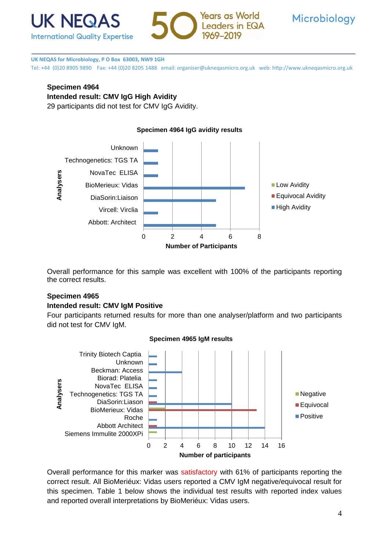





Tel: +44 (0)20 8905 9890 Fax: +44 (0)20 8205 1488 email: organiser@ukneqasmicro.org.uk web: http://www.ukneqasmicro.org.uk

# **Specimen 4964**

**Intended result: CMV IgG High Avidity** 

29 participants did not test for CMV IgG Avidity.



Overall performance for this sample was excellent with 100% of the participants reporting the correct results.

## **Specimen 4965**

#### **Intended result: CMV IgM Positive**

Four participants returned results for more than one analyser/platform and two participants did not test for CMV IgM.



## **Specimen 4965 IgM results**

Overall performance for this marker was satisfactory with 61% of participants reporting the correct result. All BioMeriéux: Vidas users reported a CMV IgM negative/equivocal result for this specimen. Table 1 below shows the individual test results with reported index values and reported overall interpretations by BioMeriéux: Vidas users.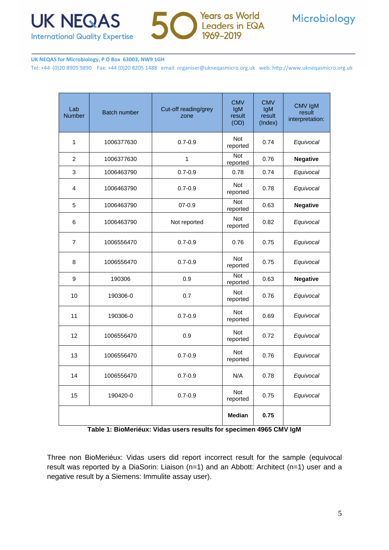



Tel: +44 (0)20 8905 9890 Fax: +44 (0)20 8205 1488 email: organiser@ukneqasmicro.org.uk web: http://www.ukneqasmicro.org.uk

| Lab<br><b>Number</b> | <b>Batch number</b> | Cut-off reading/grey<br>zone | <b>CMV</b><br>IgM<br>result<br>(OD) | <b>CMV</b><br>IgM<br>result<br>(Index) | CMV IgM<br>result<br>interpretation: |
|----------------------|---------------------|------------------------------|-------------------------------------|----------------------------------------|--------------------------------------|
| 1                    | 1006377630          | $0.7 - 0.9$                  | <b>Not</b><br>reported              | 0.74                                   | Equivocal                            |
| $\overline{2}$       | 1006377630          | 1                            | <b>Not</b><br>reported              | 0.76                                   | <b>Negative</b>                      |
| 3                    | 1006463790          | $0.7 - 0.9$                  | 0.78                                | 0.74                                   | Equivocal                            |
| 4                    | 1006463790          | $0.7 - 0.9$                  | <b>Not</b><br>reported              | 0.78                                   | Equivocal                            |
| 5                    | 1006463790          | $07 - 0.9$                   | Not<br>reported                     | 0.63                                   | <b>Negative</b>                      |
| 6                    | 1006463790          | Not reported                 | <b>Not</b><br>reported              | 0.82                                   | Equivocal                            |
| 7                    | 1006556470          | $0.7 - 0.9$                  | 0.76                                | 0.75                                   | Equivocal                            |
| 8                    | 1006556470          | $0.7 - 0.9$                  | <b>Not</b><br>reported              | 0.75                                   | Equivocal                            |
| 9                    | 190306              | 0.9                          | Not<br>reported                     | 0.63                                   | <b>Negative</b>                      |
| 10                   | 190306-0            | 0.7                          | Not<br>reported                     | 0.76                                   | Equivocal                            |
| 11                   | 190306-0            | $0.7 - 0.9$                  | <b>Not</b><br>reported              | 0.69                                   | Equivocal                            |
| 12                   | 1006556470          | 0.9                          | <b>Not</b><br>reported              | 0.72                                   | Equivocal                            |
| 13                   | 1006556470          | $0.7 - 0.9$                  | <b>Not</b><br>reported              | 0.76                                   | Equivocal                            |
| 14                   | 1006556470          | $0.7 - 0.9$                  | N/A                                 | 0.78                                   | Equivocal                            |
| 15                   | 190420-0            | $0.7 - 0.9$                  | <b>Not</b><br>reported              | 0.75                                   | Equivocal                            |
|                      |                     |                              | Median                              | 0.75                                   |                                      |

**Table 1: BioMeriéux: Vidas users results for specimen 4965 CMV IgM**

Three non BioMeriéux: Vidas users did report incorrect result for the sample (equivocal result was reported by a DiaSorin: Liaison (n=1) and an Abbott: Architect (n=1) user and a negative result by a Siemens: Immulite assay user).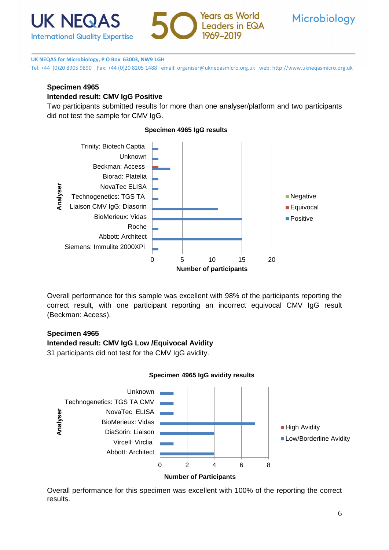





Tel: +44 (0)20 8905 9890 Fax: +44 (0)20 8205 1488 email: organiser@ukneqasmicro.org.uk web: http://www.ukneqasmicro.org.uk

# **Specimen 4965**

## **Intended result: CMV IgG Positive**

Two participants submitted results for more than one analyser/platform and two participants did not test the sample for CMV IgG.



Overall performance for this sample was excellent with 98% of the participants reporting the correct result, with one participant reporting an incorrect equivocal CMV IgG result (Beckman: Access).

## **Specimen 4965**

### **Intended result: CMV IgG Low /Equivocal Avidity**

31 participants did not test for the CMV IgG avidity.

## **Specimen 4965 IgG avidity results**



Overall performance for this specimen was excellent with 100% of the reporting the correct results.

## **Specimen 4965 IgG results**